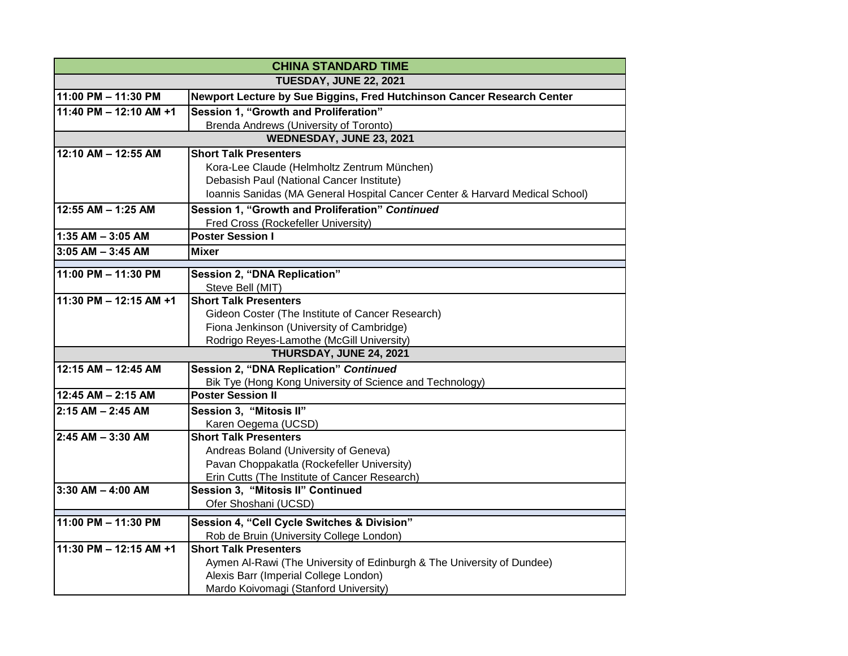| <b>CHINA STANDARD TIME</b>    |                                                                              |  |
|-------------------------------|------------------------------------------------------------------------------|--|
| <b>TUESDAY, JUNE 22, 2021</b> |                                                                              |  |
| 11:00 PM - 11:30 PM           | Newport Lecture by Sue Biggins, Fred Hutchinson Cancer Research Center       |  |
| 11:40 PM - 12:10 AM +1        | Session 1, "Growth and Proliferation"                                        |  |
|                               | Brenda Andrews (University of Toronto)                                       |  |
| WEDNESDAY, JUNE 23, 2021      |                                                                              |  |
| 12:10 AM - 12:55 AM           | <b>Short Talk Presenters</b>                                                 |  |
|                               | Kora-Lee Claude (Helmholtz Zentrum München)                                  |  |
|                               | Debasish Paul (National Cancer Institute)                                    |  |
|                               | Ioannis Sanidas (MA General Hospital Cancer Center & Harvard Medical School) |  |
| 12:55 AM - 1:25 AM            | Session 1, "Growth and Proliferation" Continued                              |  |
|                               | Fred Cross (Rockefeller University)                                          |  |
| $1:35$ AM $-3:05$ AM          | <b>Poster Session I</b>                                                      |  |
| $3:05$ AM $-$ 3:45 AM         | Mixer                                                                        |  |
| 11:00 PM - 11:30 PM           | Session 2, "DNA Replication"                                                 |  |
|                               | Steve Bell (MIT)                                                             |  |
| 11:30 PM - 12:15 AM +1        | <b>Short Talk Presenters</b>                                                 |  |
|                               | Gideon Coster (The Institute of Cancer Research)                             |  |
|                               | Fiona Jenkinson (University of Cambridge)                                    |  |
|                               | Rodrigo Reyes-Lamothe (McGill University)                                    |  |
| THURSDAY, JUNE 24, 2021       |                                                                              |  |
| 12:15 AM - 12:45 AM           | Session 2, "DNA Replication" Continued                                       |  |
|                               | Bik Tye (Hong Kong University of Science and Technology)                     |  |
| 12:45 AM - 2:15 AM            | <b>Poster Session II</b>                                                     |  |
| $2:15$ AM $- 2:45$ AM         | Session 3, "Mitosis II"                                                      |  |
|                               | Karen Oegema (UCSD)                                                          |  |
| 2:45 AM - 3:30 AM             | <b>Short Talk Presenters</b>                                                 |  |
|                               | Andreas Boland (University of Geneva)                                        |  |
|                               | Pavan Choppakatla (Rockefeller University)                                   |  |
|                               | Erin Cutts (The Institute of Cancer Research)                                |  |
| $3:30$ AM $-$ 4:00 AM         | Session 3, "Mitosis II" Continued                                            |  |
|                               | Ofer Shoshani (UCSD)                                                         |  |
| 11:00 PM - 11:30 PM           | Session 4, "Cell Cycle Switches & Division"                                  |  |
|                               | Rob de Bruin (University College London)                                     |  |
| 11:30 PM - 12:15 AM +1        | <b>Short Talk Presenters</b>                                                 |  |
|                               | Aymen Al-Rawi (The University of Edinburgh & The University of Dundee)       |  |
|                               | Alexis Barr (Imperial College London)                                        |  |
|                               | Mardo Koivomagi (Stanford University)                                        |  |